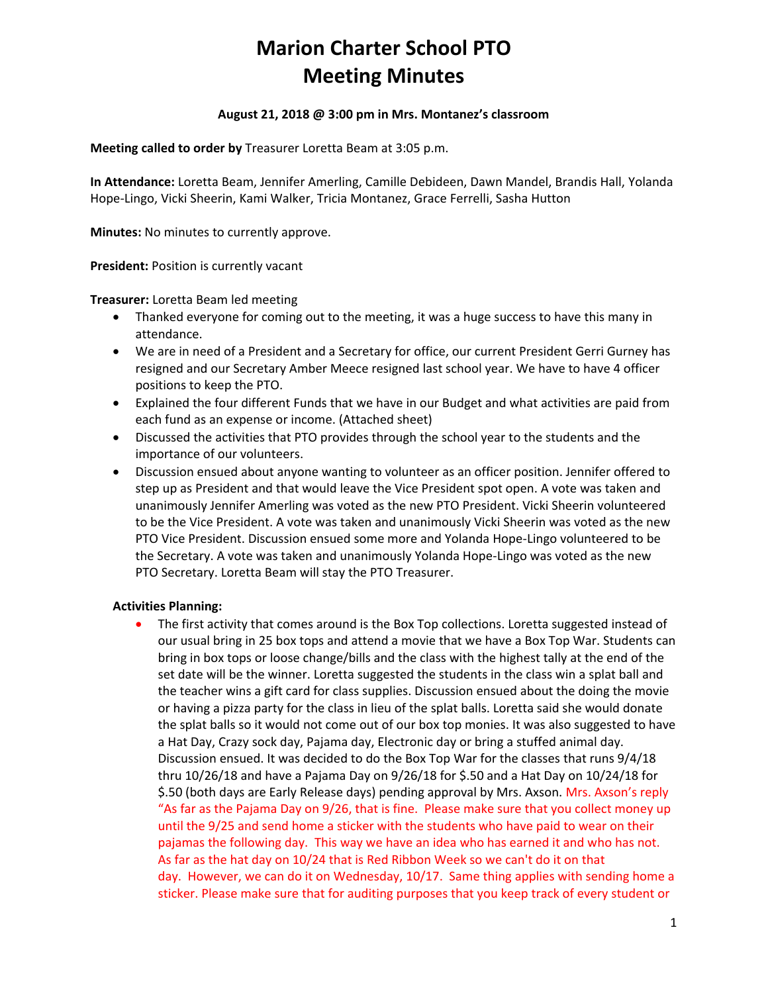# **Marion Charter School PTO Meeting Minutes**

## **August 21, 2018 @ 3:00 pm in Mrs. Montanez's classroom**

**Meeting called to order by** Treasurer Loretta Beam at 3:05 p.m.

**In Attendance:** Loretta Beam, Jennifer Amerling, Camille Debideen, Dawn Mandel, Brandis Hall, Yolanda Hope-Lingo, Vicki Sheerin, Kami Walker, Tricia Montanez, Grace Ferrelli, Sasha Hutton

**Minutes:** No minutes to currently approve.

**President:** Position is currently vacant

**Treasurer:** Loretta Beam led meeting

- Thanked everyone for coming out to the meeting, it was a huge success to have this many in attendance.
- We are in need of a President and a Secretary for office, our current President Gerri Gurney has resigned and our Secretary Amber Meece resigned last school year. We have to have 4 officer positions to keep the PTO.
- Explained the four different Funds that we have in our Budget and what activities are paid from each fund as an expense or income. (Attached sheet)
- Discussed the activities that PTO provides through the school year to the students and the importance of our volunteers.
- Discussion ensued about anyone wanting to volunteer as an officer position. Jennifer offered to step up as President and that would leave the Vice President spot open. A vote was taken and unanimously Jennifer Amerling was voted as the new PTO President. Vicki Sheerin volunteered to be the Vice President. A vote was taken and unanimously Vicki Sheerin was voted as the new PTO Vice President. Discussion ensued some more and Yolanda Hope-Lingo volunteered to be the Secretary. A vote was taken and unanimously Yolanda Hope-Lingo was voted as the new PTO Secretary. Loretta Beam will stay the PTO Treasurer.

#### **Activities Planning:**

• The first activity that comes around is the Box Top collections. Loretta suggested instead of our usual bring in 25 box tops and attend a movie that we have a Box Top War. Students can bring in box tops or loose change/bills and the class with the highest tally at the end of the set date will be the winner. Loretta suggested the students in the class win a splat ball and the teacher wins a gift card for class supplies. Discussion ensued about the doing the movie or having a pizza party for the class in lieu of the splat balls. Loretta said she would donate the splat balls so it would not come out of our box top monies. It was also suggested to have a Hat Day, Crazy sock day, Pajama day, Electronic day or bring a stuffed animal day. Discussion ensued. It was decided to do the Box Top War for the classes that runs 9/4/18 thru 10/26/18 and have a Pajama Day on 9/26/18 for \$.50 and a Hat Day on 10/24/18 for \$.50 (both days are Early Release days) pending approval by Mrs. Axson. Mrs. Axson's reply "As far as the Pajama Day on 9/26, that is fine. Please make sure that you collect money up until the 9/25 and send home a sticker with the students who have paid to wear on their pajamas the following day. This way we have an idea who has earned it and who has not. As far as the hat day on 10/24 that is Red Ribbon Week so we can't do it on that day. However, we can do it on Wednesday, 10/17. Same thing applies with sending home a sticker. Please make sure that for auditing purposes that you keep track of every student or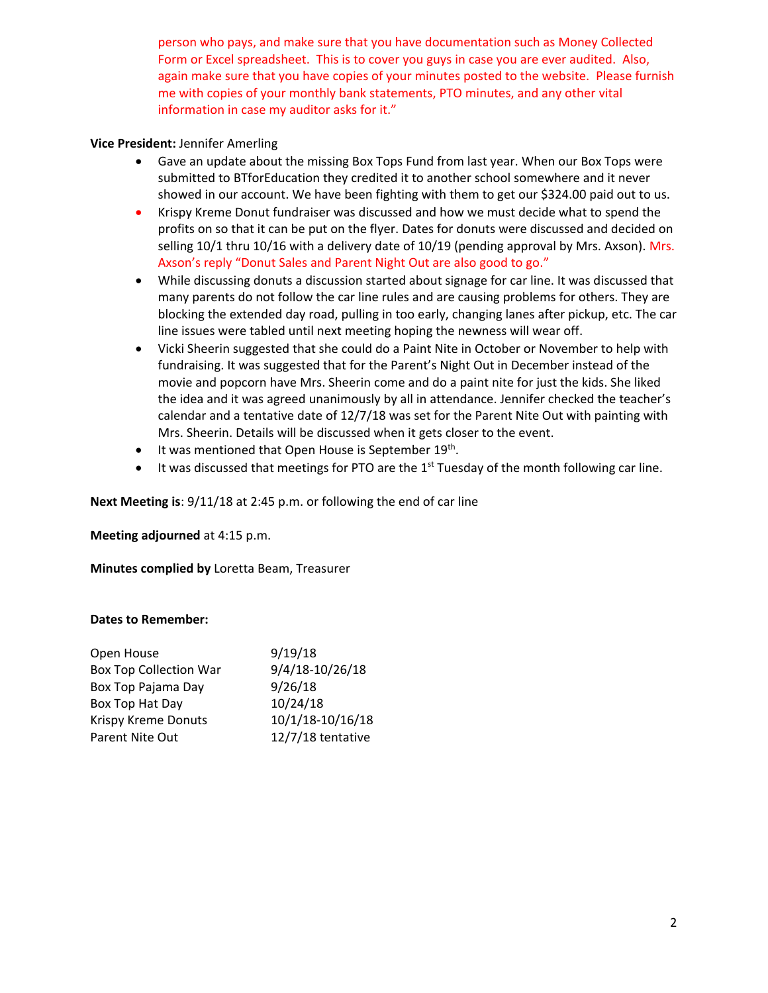person who pays, and make sure that you have documentation such as Money Collected Form or Excel spreadsheet. This is to cover you guys in case you are ever audited. Also, again make sure that you have copies of your minutes posted to the website. Please furnish me with copies of your monthly bank statements, PTO minutes, and any other vital information in case my auditor asks for it."

#### **Vice President:** Jennifer Amerling

- Gave an update about the missing Box Tops Fund from last year. When our Box Tops were submitted to BTforEducation they credited it to another school somewhere and it never showed in our account. We have been fighting with them to get our \$324.00 paid out to us.
- Krispy Kreme Donut fundraiser was discussed and how we must decide what to spend the profits on so that it can be put on the flyer. Dates for donuts were discussed and decided on selling 10/1 thru 10/16 with a delivery date of 10/19 (pending approval by Mrs. Axson). Mrs. Axson's reply "Donut Sales and Parent Night Out are also good to go."
- While discussing donuts a discussion started about signage for car line. It was discussed that many parents do not follow the car line rules and are causing problems for others. They are blocking the extended day road, pulling in too early, changing lanes after pickup, etc. The car line issues were tabled until next meeting hoping the newness will wear off.
- Vicki Sheerin suggested that she could do a Paint Nite in October or November to help with fundraising. It was suggested that for the Parent's Night Out in December instead of the movie and popcorn have Mrs. Sheerin come and do a paint nite for just the kids. She liked the idea and it was agreed unanimously by all in attendance. Jennifer checked the teacher's calendar and a tentative date of 12/7/18 was set for the Parent Nite Out with painting with Mrs. Sheerin. Details will be discussed when it gets closer to the event.
- It was mentioned that Open House is September 19<sup>th</sup>.
- It was discussed that meetings for PTO are the  $1<sup>st</sup>$  Tuesday of the month following car line.

**Next Meeting is**: 9/11/18 at 2:45 p.m. or following the end of car line

**Meeting adjourned** at 4:15 p.m.

**Minutes complied by** Loretta Beam, Treasurer

#### **Dates to Remember:**

| 9/19/18           |
|-------------------|
| 9/4/18-10/26/18   |
| 9/26/18           |
| 10/24/18          |
| 10/1/18-10/16/18  |
| 12/7/18 tentative |
|                   |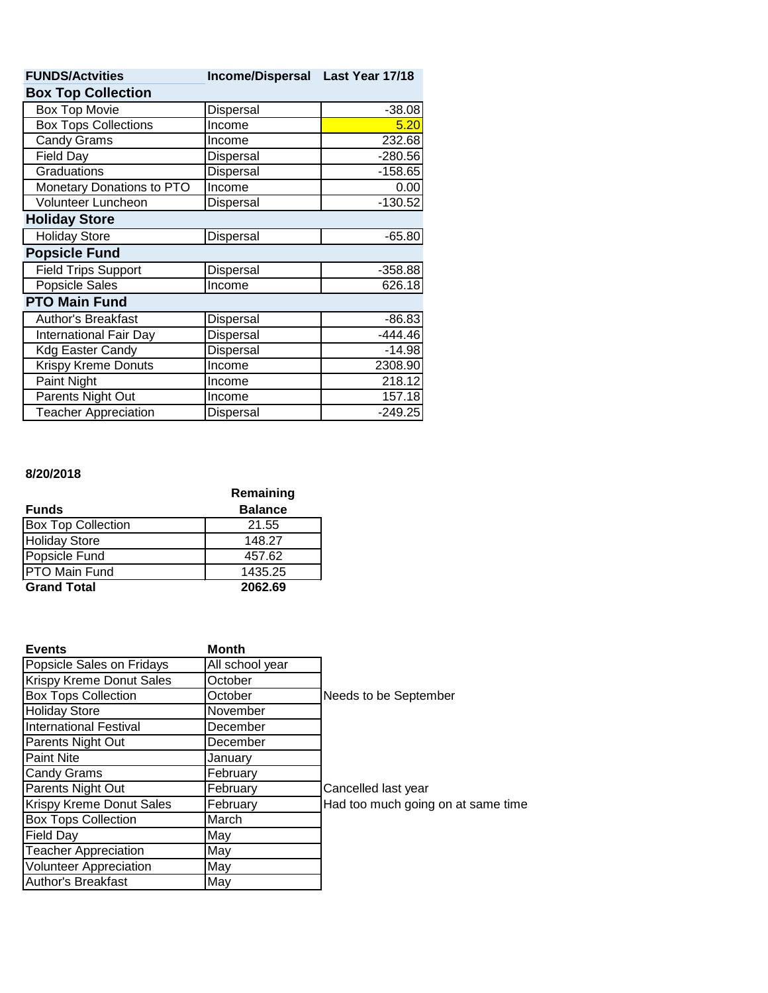| <b>FUNDS/Actvities</b>      | Income/Dispersal Last Year 17/18 |           |  |  |
|-----------------------------|----------------------------------|-----------|--|--|
| <b>Box Top Collection</b>   |                                  |           |  |  |
| <b>Box Top Movie</b>        | Dispersal                        | $-38.08$  |  |  |
| <b>Box Tops Collections</b> | Income                           | 5.20      |  |  |
| <b>Candy Grams</b>          | Income                           | 232.68    |  |  |
| Field Day                   | Dispersal                        | $-280.56$ |  |  |
| Graduations                 | Dispersal                        | $-158.65$ |  |  |
| Monetary Donations to PTO   | Income                           | 0.00      |  |  |
| Volunteer Luncheon          | Dispersal                        | $-130.52$ |  |  |
| <b>Holiday Store</b>        |                                  |           |  |  |
| <b>Holiday Store</b>        | Dispersal                        | $-65.80$  |  |  |
| <b>Popsicle Fund</b>        |                                  |           |  |  |
| <b>Field Trips Support</b>  | Dispersal                        | $-358.88$ |  |  |
| Popsicle Sales              | Income                           | 626.18    |  |  |
| <b>PTO Main Fund</b>        |                                  |           |  |  |
| Author's Breakfast          | Dispersal                        | $-86.83$  |  |  |
| International Fair Day      | Dispersal                        | $-444.46$ |  |  |
| <b>Kdg Easter Candy</b>     | Dispersal                        | $-14.98$  |  |  |
| <b>Krispy Kreme Donuts</b>  | Income                           | 2308.90   |  |  |
| Paint Night                 | Income                           | 218.12    |  |  |
| Parents Night Out           | Income                           | 157.18    |  |  |
| <b>Teacher Appreciation</b> | <b>Dispersal</b>                 | $-249.25$ |  |  |

### **8/20/2018**

|                           | Remaining      |
|---------------------------|----------------|
| <b>Funds</b>              | <b>Balance</b> |
| <b>Box Top Collection</b> | 21.55          |
| <b>Holiday Store</b>      | 148.27         |
| Popsicle Fund             | 457.62         |
| <b>PTO Main Fund</b>      | 1435.25        |
| <b>Grand Total</b>        | 2062.69        |

| <b>Events</b>                 | <b>Month</b>    |                                    |
|-------------------------------|-----------------|------------------------------------|
| Popsicle Sales on Fridays     | All school year |                                    |
| Krispy Kreme Donut Sales      | October         |                                    |
| <b>Box Tops Collection</b>    | October         | Needs to be September              |
| <b>Holiday Store</b>          | November        |                                    |
| <b>International Festival</b> | December        |                                    |
| Parents Night Out             | December        |                                    |
| <b>Paint Nite</b>             | January         |                                    |
| <b>Candy Grams</b>            | February        |                                    |
| Parents Night Out             | February        | Cancelled last year                |
| Krispy Kreme Donut Sales      | February        | Had too much going on at same time |
| <b>Box Tops Collection</b>    | March           |                                    |
| <b>Field Day</b>              | May             |                                    |
| <b>Teacher Appreciation</b>   | May             |                                    |
| <b>Volunteer Appreciation</b> | May             |                                    |
| <b>Author's Breakfast</b>     | May             |                                    |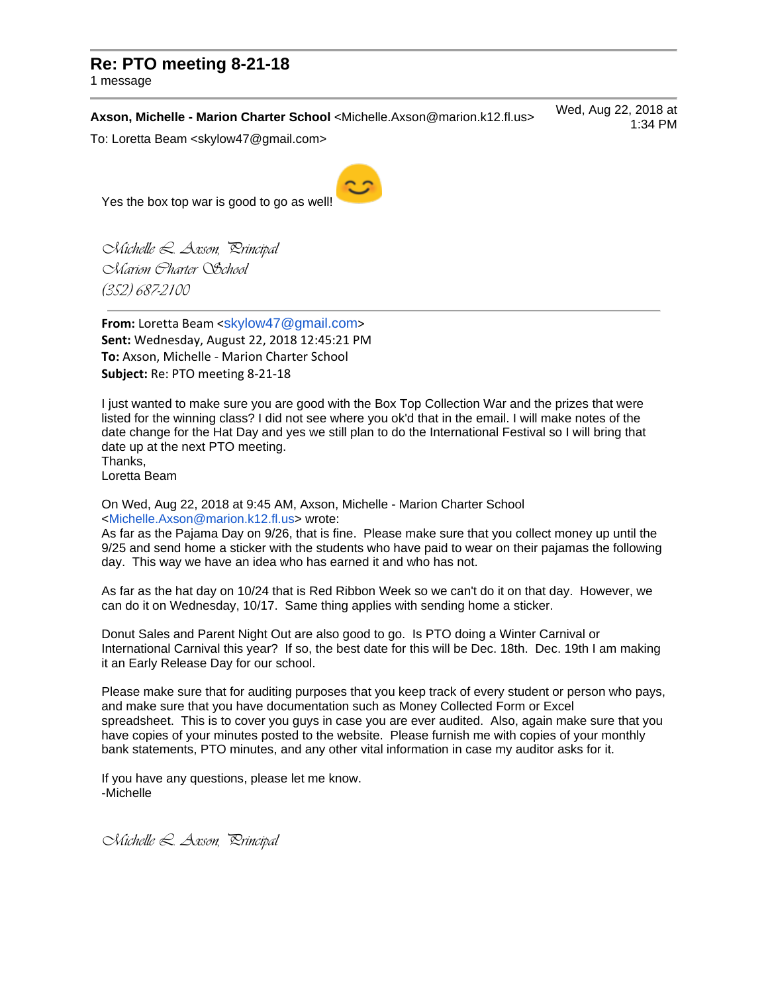# **Re: PTO meeting 8-21-18**

1 message

**Axson, Michelle - Marion Charter School** <Michelle.Axson@marion.k12.fl.us> Wed, Aug 22, 2018 at 1:34 PM

To: Loretta Beam <skylow47@gmail.com>

Yes the box top war is good to go as well!

*Michelle L. Axson, Principal Marion Charter School (352) 687-2100*

**From:** Loretta Beam <[skylow47@gmail.com](mailto:skylow47@gmail.com)> **Sent:** Wednesday, August 22, 2018 12:45:21 PM **To:** Axson, Michelle - Marion Charter School **Subject:** Re: PTO meeting 8-21-18

I just wanted to make sure you are good with the Box Top Collection War and the prizes that were listed for the winning class? I did not see where you ok'd that in the email. I will make notes of the date change for the Hat Day and yes we still plan to do the International Festival so I will bring that date up at the next PTO meeting. Thanks,

Loretta Beam

On Wed, Aug 22, 2018 at 9:45 AM, Axson, Michelle - Marion Charter School [<Michelle.Axson@marion.k12.fl.us>](mailto:Michelle.Axson@marion.k12.fl.us) wrote:

As far as the Pajama Day on 9/26, that is fine. Please make sure that you collect money up until the 9/25 and send home a sticker with the students who have paid to wear on their pajamas the following day. This way we have an idea who has earned it and who has not.

As far as the hat day on 10/24 that is Red Ribbon Week so we can't do it on that day. However, we can do it on Wednesday, 10/17. Same thing applies with sending home a sticker.

Donut Sales and Parent Night Out are also good to go. Is PTO doing a Winter Carnival or International Carnival this year? If so, the best date for this will be Dec. 18th. Dec. 19th I am making it an Early Release Day for our school.

Please make sure that for auditing purposes that you keep track of every student or person who pays, and make sure that you have documentation such as Money Collected Form or Excel spreadsheet. This is to cover you guys in case you are ever audited. Also, again make sure that you have copies of your minutes posted to the website. Please furnish me with copies of your monthly bank statements, PTO minutes, and any other vital information in case my auditor asks for it.

If you have any questions, please let me know. -Michelle

*Michelle L. Axson, Principal*